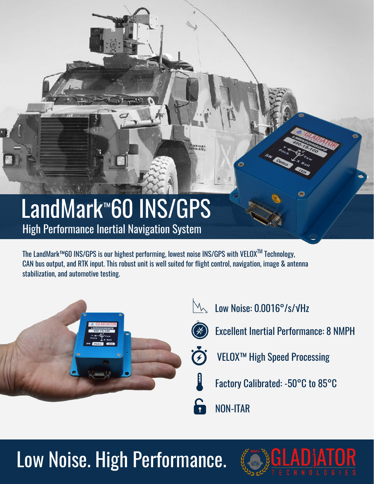## LandMark™60 INS/GPS High Performance Inertial Navigation System

The LandMark™60 INS/GPS is our highest performing, lowest noise INS/GPS with VELOXTM Technology, CAN bus output, and RTK input. This robust unit is well suited for flight control, navigation, image & antenna stabilization, and automotive testing.



- $M_{\odot}$ Low Noise: 0.0016°/s/√Hz
- 

*<b>Alarmount* 

- Excellent Inertial Performance: 8 NMPH
- VELOX™ High Speed Processing
- Factory Calibrated: -50°C to 85°C
- NON-ITAR

## Low Noise. High Performance.